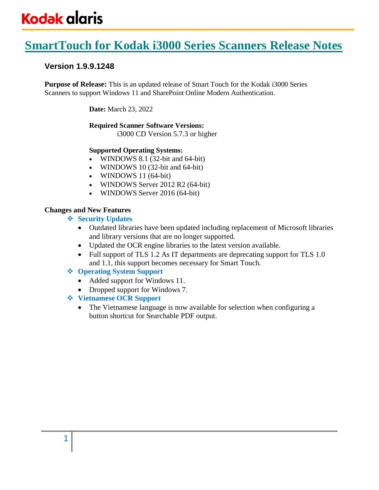# **SmartTouch for Kodak i3000 Series Scanners Release Notes**

## **Version 1.9.9.1248**

**Purpose of Release:** This is an updated release of Smart Touch for the Kodak i3000 Series Scanners to support Windows 11 and SharePoint Online Modern Authentication.

**Date:** March 23, 2022

### **Required Scanner Software Versions:**

i3000 CD Version 5.7.3 or higher

### **Supported Operating Systems:**

- WINDOWS 8.1 (32-bit and 64-bit)
- WINDOWS 10 (32-bit and 64-bit)
- WINDOWS 11 (64-bit)
- WINDOWS Server 2012 R2 (64-bit)
- WINDOWS Server 2016 (64-bit)

### **Changes and New Features**

- ❖ **Security Updates**
	- Outdated libraries have been updated including replacement of Microsoft libraries and library versions that are no longer supported.
	- Updated the OCR engine libraries to the latest version available.
	- Full support of TLS 1.2 As IT departments are deprecating support for TLS 1.0 and 1.1, this support becomes necessary for Smart Touch.
- ❖ **Operating System Support**
	- Added support for Windows 11.
	- Dropped support for Windows 7.
- ❖ **Vietnamese OCR Support**
	- The Vietnamese language is now available for selection when configuring a button shortcut for Searchable PDF output.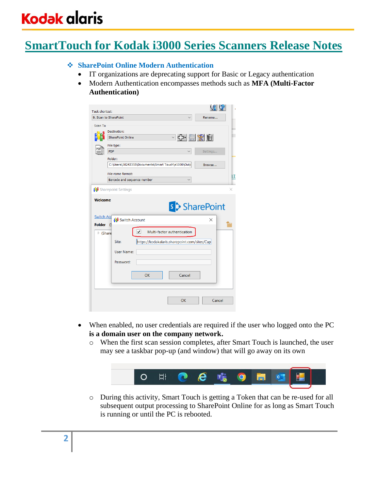# **SmartTouch for Kodak i3000 Series Scanners Release Notes**

### ❖ **SharePoint Online Modern Authentication**

- IT organizations are deprecating support for Basic or Legacy authentication
- Modern Authentication encompasses methods such as **MFA (Multi-Factor Authentication)**

| Task shortcut:                           |                                                                                                                                                 | <u> (१</u> ९        |
|------------------------------------------|-------------------------------------------------------------------------------------------------------------------------------------------------|---------------------|
|                                          | 9. Scan to SharePoint                                                                                                                           | Rename              |
| Scan To                                  | Destination:<br>기다 모양한<br><b>SharePoint Online</b><br>File type:<br><b>PDF</b><br>Folder:<br>C:\Users\50242355\Documents\Smart Touch\e1000\Outp | Settings<br>Browse  |
|                                          | File name format:                                                                                                                               |                     |
|                                          | Barcode and sequence number                                                                                                                     | Ш                   |
| <b>Switch Acd</b>                        | Switch Account                                                                                                                                  | s > SharePoint<br>× |
| <b>Folder</b><br>$\triangleright$ (Share | (S<br>✓<br>Multi-factor authentication                                                                                                          |                     |
|                                          | Site:<br>https://kodakalaris.sharepoint.com/sites/Cap                                                                                           |                     |
|                                          | <b>User Name:</b>                                                                                                                               |                     |
|                                          | Password:                                                                                                                                       |                     |
|                                          | OK<br>Cancel                                                                                                                                    |                     |
|                                          | OK                                                                                                                                              | Cancel              |

- When enabled, no user credentials are required if the user who logged onto the PC **is a domain user on the company network.**
	- o When the first scan session completes, after Smart Touch is launched, the user may see a taskbar pop-up (and window) that will go away on its own



o During this activity, Smart Touch is getting a Token that can be re-used for all subsequent output processing to SharePoint Online for as long as Smart Touch is running or until the PC is rebooted.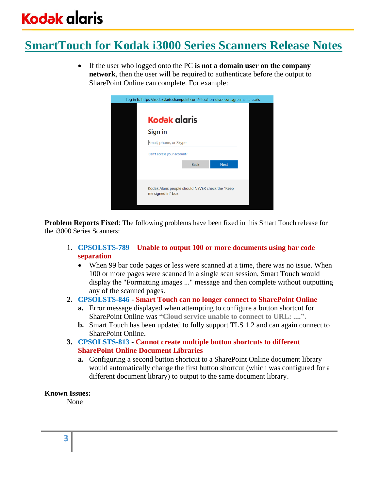# **SmartTouch for Kodak i3000 Series Scanners Release Notes**

• If the user who logged onto the PC **is not a domain user on the company network**, then the user will be required to authenticate before the output to SharePoint Online can complete. For example:



**Problem Reports Fixed**: The following problems have been fixed in this Smart Touch release for the i3000 Series Scanners:

- 1. **CPSOLSTS-789 Unable to output 100 or more documents using bar code separation**
	- When 99 bar code pages or less were scanned at a time, there was no issue. When 100 or more pages were scanned in a single scan session, Smart Touch would display the "Formatting images ..." message and then complete without outputting any of the scanned pages.
- **2. CPSOLSTS-846 Smart Touch can no longer connect to SharePoint Online**
	- **a.** Error message displayed when attempting to configure a button shortcut for SharePoint Online was **"Cloud service unable to connect to URL: ....".**
	- **b.** Smart Touch has been updated to fully support TLS 1.2 and can again connect to SharePoint Online.
- **3. CPSOLSTS-813 Cannot create multiple button shortcuts to different SharePoint Online Document Libraries**
	- **a.** Configuring a second button shortcut to a SharePoint Online document library would automatically change the first button shortcut (which was configured for a different document library) to output to the same document library.

### **Known Issues:**

None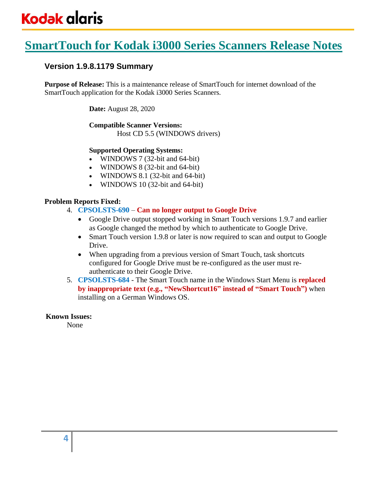# **SmartTouch for Kodak i3000 Series Scanners Release Notes**

### **Version 1.9.8.1179 Summary**

**Purpose of Release:** This is a maintenance release of SmartTouch for internet download of the SmartTouch application for the Kodak i3000 Series Scanners.

**Date:** August 28, 2020

### **Compatible Scanner Versions:**

Host CD 5.5 (WINDOWS drivers)

### **Supported Operating Systems:**

- WINDOWS 7 (32-bit and 64-bit)
- WINDOWS 8 (32-bit and 64-bit)
- WINDOWS 8.1 (32-bit and 64-bit)
- WINDOWS 10 (32-bit and 64-bit)

### **Problem Reports Fixed:**

- 4. **CPSOLSTS-690 Can no longer output to Google Drive**
	- Google Drive output stopped working in Smart Touch versions 1.9.7 and earlier as Google changed the method by which to authenticate to Google Drive.
	- Smart Touch version 1.9.8 or later is now required to scan and output to Google Drive.
	- When upgrading from a previous version of Smart Touch, task shortcuts configured for Google Drive must be re-configured as the user must reauthenticate to their Google Drive.
- 5. **CPSOLSTS-684** The Smart Touch name in the Windows Start Menu is **replaced by inappropriate text (e.g., "NewShortcut16" instead of "Smart Touch")** when installing on a German Windows OS.

#### **Known Issues:**

None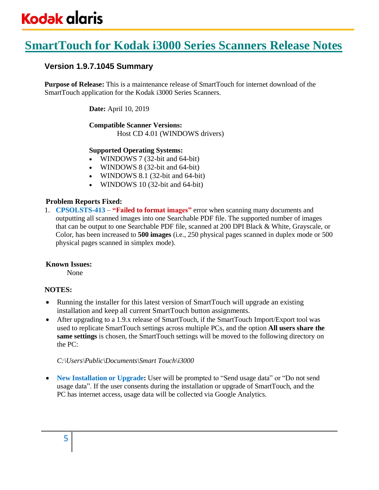# **SmartTouch for Kodak i3000 Series Scanners Release Notes**

## **Version 1.9.7.1045 Summary**

**Purpose of Release:** This is a maintenance release of SmartTouch for internet download of the SmartTouch application for the Kodak i3000 Series Scanners.

**Date:** April 10, 2019

#### **Compatible Scanner Versions:** Host CD 4.01 (WINDOWS drivers)

### **Supported Operating Systems:**

- WINDOWS 7 (32-bit and 64-bit)
- WINDOWS 8 (32-bit and 64-bit)
- WINDOWS 8.1 (32-bit and 64-bit)
- WINDOWS 10 (32-bit and 64-bit)

### **Problem Reports Fixed:**

1. **CPSOLSTS-413** – **"Failed to format images"** error when scanning many documents and outputting all scanned images into one Searchable PDF file. The supported number of images that can be output to one Searchable PDF file, scanned at 200 DPI Black & White, Grayscale, or Color, has been increased to **500 images** (i.e., 250 physical pages scanned in duplex mode or 500 physical pages scanned in simplex mode).

### **Known Issues:**

None

### **NOTES:**

- Running the installer for this latest version of SmartTouch will upgrade an existing installation and keep all current SmartTouch button assignments.
- After upgrading to a 1.9.x release of SmartTouch, if the SmartTouch Import/Export tool was used to replicate SmartTouch settings across multiple PCs, and the option **All users share the same settings** is chosen, the SmartTouch settings will be moved to the following directory on the PC:

*C:\Users\Public\Documents\Smart Touch\i3000*

• **New Installation or Upgrade:** User will be prompted to "Send usage data" or "Do not send usage data". If the user consents during the installation or upgrade of SmartTouch, and the PC has internet access, usage data will be collected via Google Analytics.